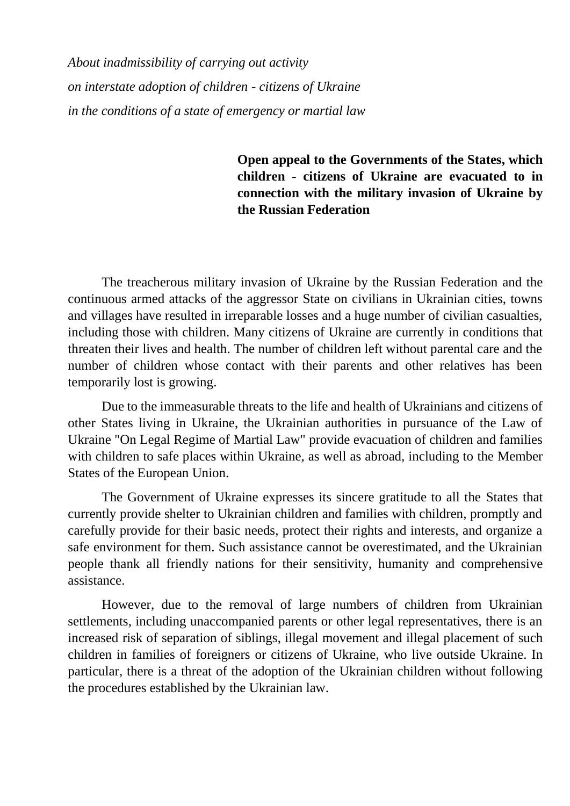*About inadmissibility of carrying out activity on interstate adoption of children - citizens of Ukraine in the conditions of a state of emergency or martial law*

## **Open appeal to the Governments of the States, which children - citizens of Ukraine are evacuated to in connection with the military invasion of Ukraine by the Russian Federation**

The treacherous military invasion of Ukraine by the Russian Federation and the continuous armed attacks of the aggressor State on civilians in Ukrainian cities, towns and villages have resulted in irreparable losses and a huge number of civilian casualties, including those with children. Many citizens of Ukraine are currently in conditions that threaten their lives and health. The number of children left without parental care and the number of children whose contact with their parents and other relatives has been temporarily lost is growing.

Due to the immeasurable threats to the life and health of Ukrainians and citizens of other States living in Ukraine, the Ukrainian authorities in pursuance of the Law of Ukraine "On Legal Regime of Martial Law" provide evacuation of children and families with children to safe places within Ukraine, as well as abroad, including to the Member States of the European Union.

The Government of Ukraine expresses its sincere gratitude to all the States that currently provide shelter to Ukrainian children and families with children, promptly and carefully provide for their basic needs, protect their rights and interests, and organize a safe environment for them. Such assistance cannot be overestimated, and the Ukrainian people thank all friendly nations for their sensitivity, humanity and comprehensive assistance.

However, due to the removal of large numbers of children from Ukrainian settlements, including unaccompanied parents or other legal representatives, there is an increased risk of separation of siblings, illegal movement and illegal placement of such children in families of foreigners or citizens of Ukraine, who live outside Ukraine. In particular, there is a threat of the adoption of the Ukrainian children without following the procedures established by the Ukrainian law.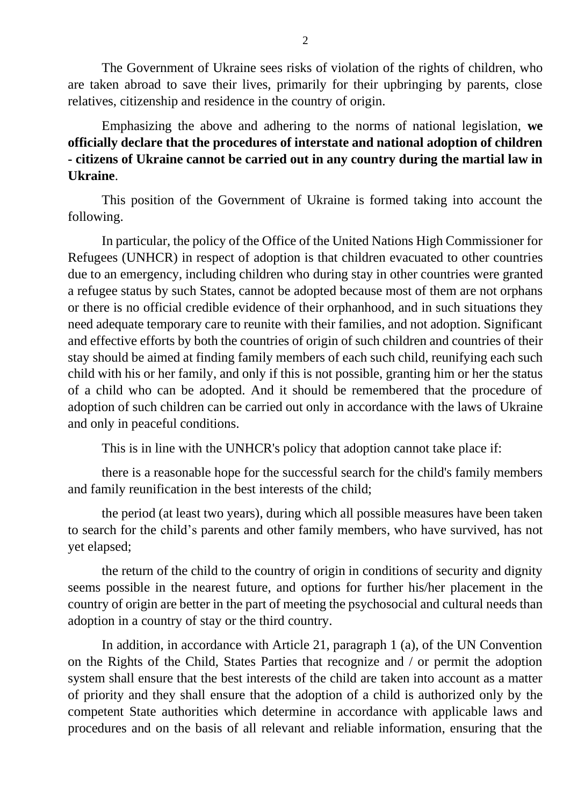The Government of Ukraine sees risks of violation of the rights of children, who are taken abroad to save their lives, primarily for their upbringing by parents, close relatives, citizenship and residence in the country of origin.

Emphasizing the above and adhering to the norms of national legislation, **we officially declare that the procedures of interstate and national adoption of children - citizens of Ukraine cannot be carried out in any country during the martial law in Ukraine**.

This position of the Government of Ukraine is formed taking into account the following.

In particular, the policy of the Office of the United Nations High Commissioner for Refugees (UNHCR) in respect of adoption is that children evacuated to other countries due to an emergency, including children who during stay in other countries were granted a refugee status by such States, cannot be adopted because most of them are not orphans or there is no official credible evidence of their orphanhood, and in such situations they need adequate temporary care to reunite with their families, and not adoption. Significant and effective efforts by both the countries of origin of such children and countries of their stay should be aimed at finding family members of each such child, reunifying each such child with his or her family, and only if this is not possible, granting him or her the status of a child who can be adopted. And it should be remembered that the procedure of adoption of such children can be carried out only in accordance with the laws of Ukraine and only in peaceful conditions.

This is in line with the UNHCR's policy that adoption cannot take place if:

there is a reasonable hope for the successful search for the child's family members and family reunification in the best interests of the child;

the period (at least two years), during which all possible measures have been taken to search for the child's parents and other family members, who have survived, has not yet elapsed;

the return of the child to the country of origin in conditions of security and dignity seems possible in the nearest future, and options for further his/her placement in the country of origin are better in the part of meeting the psychosocial and cultural needs than adoption in a country of stay or the third country.

In addition, in accordance with Article 21, paragraph 1 (a), of the UN Convention on the Rights of the Child, States Parties that recognize and / or permit the adoption system shall ensure that the best interests of the child are taken into account as a matter of priority and they shall ensure that the adoption of a child is authorized only by the competent State authorities which determine in accordance with applicable laws and procedures and on the basis of all relevant and reliable information, ensuring that the